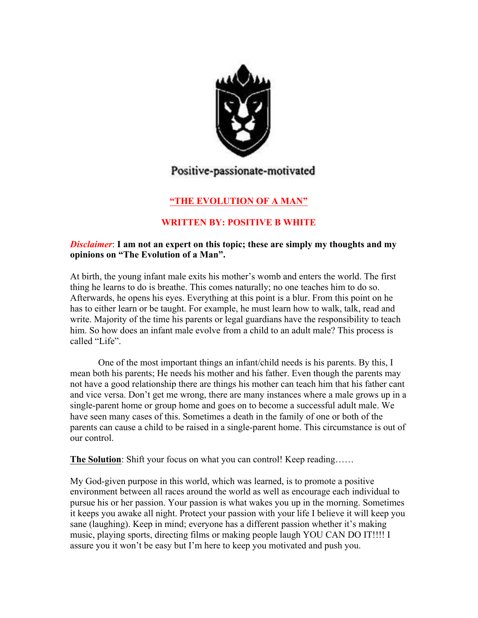

# Positive-passionate-motivated

## **"THE EVOLUTION OF A MAN"**

## **WRITTEN BY: POSITIVE B WHITE**

#### *Disclaimer*: **I am not an expert on this topic; these are simply my thoughts and my opinions on "The Evolution of a Man".**

At birth, the young infant male exits his mother's womb and enters the world. The first thing he learns to do is breathe. This comes naturally; no one teaches him to do so. Afterwards, he opens his eyes. Everything at this point is a blur. From this point on he has to either learn or be taught. For example, he must learn how to walk, talk, read and write. Majority of the time his parents or legal guardians have the responsibility to teach him. So how does an infant male evolve from a child to an adult male? This process is called "Life".

One of the most important things an infant/child needs is his parents. By this, I mean both his parents; He needs his mother and his father. Even though the parents may not have a good relationship there are things his mother can teach him that his father cant and vice versa. Don't get me wrong, there are many instances where a male grows up in a single-parent home or group home and goes on to become a successful adult male. We have seen many cases of this. Sometimes a death in the family of one or both of the parents can cause a child to be raised in a single-parent home. This circumstance is out of our control.

**The Solution**: Shift your focus on what you can control! Keep reading......

My God-given purpose in this world, which was learned, is to promote a positive environment between all races around the world as well as encourage each individual to pursue his or her passion. Your passion is what wakes you up in the morning. Sometimes it keeps you awake all night. Protect your passion with your life I believe it will keep you sane (laughing). Keep in mind; everyone has a different passion whether it's making music, playing sports, directing films or making people laugh YOU CAN DO IT!!!! I assure you it won't be easy but I'm here to keep you motivated and push you.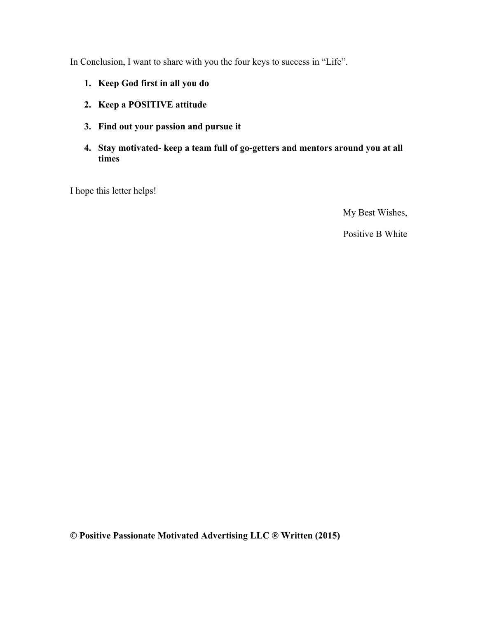In Conclusion, I want to share with you the four keys to success in "Life".

- **1. Keep God first in all you do**
- **2. Keep a POSITIVE attitude**
- **3. Find out your passion and pursue it**
- **4. Stay motivated- keep a team full of go-getters and mentors around you at all times**

I hope this letter helps!

My Best Wishes,

Positive B White